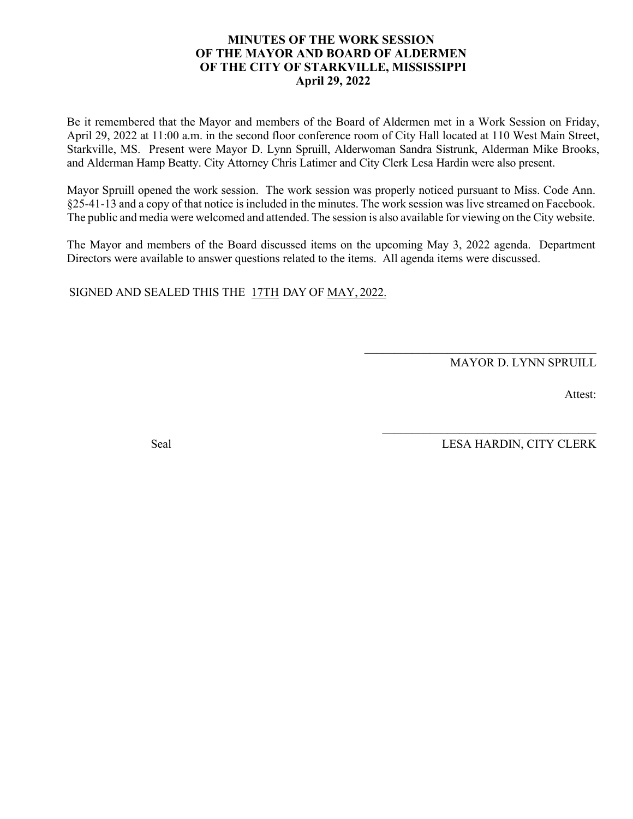#### **MINUTES OF THE WORK SESSION OF THE MAYOR AND BOARD OF ALDERMEN OF THE CITY OF STARKVILLE, MISSISSIPPI April 29, 2022**

Be it remembered that the Mayor and members of the Board of Aldermen met in a Work Session on Friday, April 29, 2022 at 11:00 a.m. in the second floor conference room of City Hall located at 110 West Main Street, Starkville, MS. Present were Mayor D. Lynn Spruill, Alderwoman Sandra Sistrunk, Alderman Mike Brooks, and Alderman Hamp Beatty. City Attorney Chris Latimer and City Clerk Lesa Hardin were also present.

Mayor Spruill opened the work session. The work session was properly noticed pursuant to Miss. Code Ann. §25-41-13 and a copy of that notice is included in the minutes. The work session was live streamed on Facebook. The public and media were welcomed and attended. The session is also available for viewing on the City website.

The Mayor and members of the Board discussed items on the upcoming May 3, 2022 agenda. Department Directors were available to answer questions related to the items. All agenda items were discussed.

SIGNED AND SEALED THIS THE 17TH DAY OF MAY, 2022.

MAYOR D. LYNN SPRUILL

\_\_\_\_\_\_\_\_\_\_\_\_\_\_\_\_\_\_\_\_\_\_\_\_\_\_\_\_\_\_\_\_\_\_\_\_\_\_\_

 $\mathcal{L}_\text{max}$  , and the set of the set of the set of the set of the set of the set of the set of the set of the set of the set of the set of the set of the set of the set of the set of the set of the set of the set of the

Attest:

Seal LESA HARDIN, CITY CLERK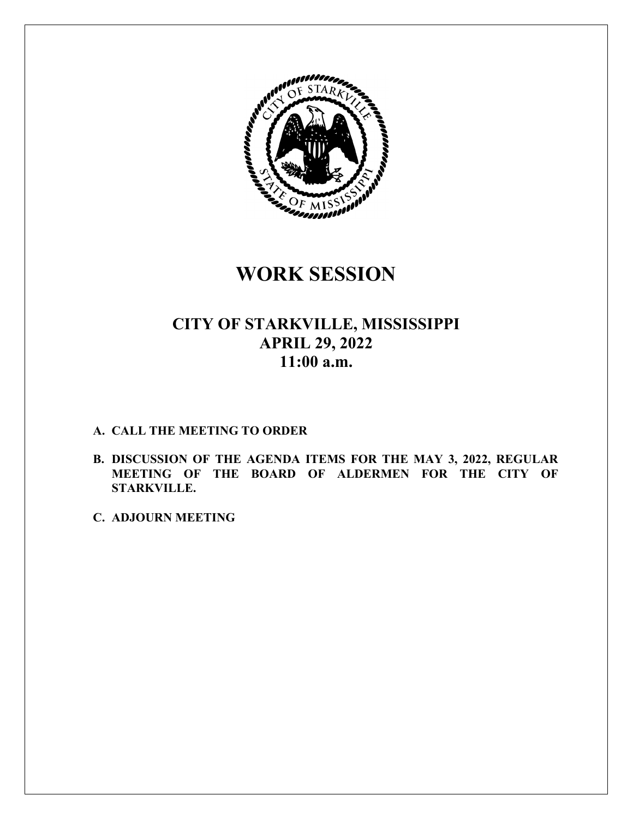

### **WORK SESSION**

### **CITY OF STARKVILLE, MISSISSIPPI APRIL 29, 2022 11:00 a.m.**

#### **A. CALL THE MEETING TO ORDER**

- **B. DISCUSSION OF THE AGENDA ITEMS FOR THE MAY 3, 2022, REGULAR MEETING OF THE BOARD OF ALDERMEN FOR THE CITY OF STARKVILLE.**
- **C. ADJOURN MEETING**